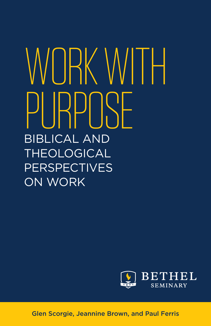## WORK WITH PI ISPOSE BIBLICAL AND THEOLOGICAL **PERSPECTIVES** ON WORK



Glen Scorgie, Jeannine Brown, and Paul Ferris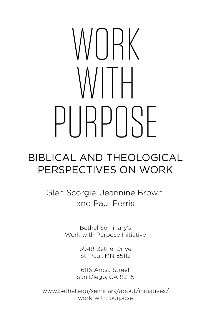# WORK WITH PI IRPI ISE

#### BIBLICAL AND THEOLOGICAL PERSPECTIVES ON WORK

Glen Scorgie, Jeannine Brown, and Paul Ferris

> Bethel Seminary's Work with Purpose Initiative

> > 3949 Bethel Drive St. Paul, MN 55112

6116 Arosa Street San Diego, CA 92115

[www.bethel.edu/seminary/about/initiatives/](www.bethel.edu/seminary/about/initiatives/work-with-purpose) work-with-purpose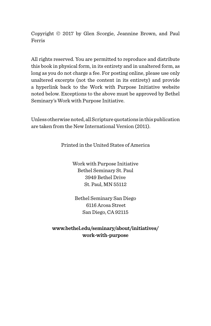Copyright © 2017 by Glen Scorgie, Jeannine Brown, and Paul Ferris

All rights reserved. You are permitted to reproduce and distribute this book in physical form, in its entirety and in unaltered form, as long as you do not charge a fee. For posting online, please use only unaltered excerpts (not the content in its entirety) and provide a hyperlink back to the Work with Purpose Initiative website noted below. Exceptions to the above must be approved by Bethel Seminary's Work with Purpose Initiative.

Unless otherwise noted, all Scripture quotations in this publication are taken from the New International Version (2011).

Printed in the United States of America

Work with Purpose Initiative Bethel Seminary St. Paul 3949 Bethel Drive St. Paul, MN 55112

Bethel Seminary San Diego 6116 Arosa Street San Diego, CA 92115

**[www.bethel.edu/seminary/about/initiatives/](https://www.bethel.edu/seminary/about/initiatives/work-with-purpose/) work-with-purpose**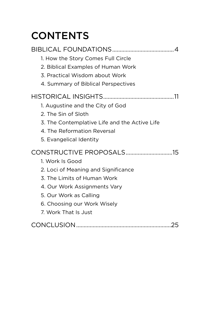### **CONTENTS**

| 1. How the Story Comes Full Circle            |
|-----------------------------------------------|
| 2. Biblical Examples of Human Work            |
| 3. Practical Wisdom about Work                |
| 4. Summary of Biblical Perspectives           |
|                                               |
| 1. Augustine and the City of God              |
| 2. The Sin of Sloth                           |
| 3. The Contemplative Life and the Active Life |
| 4. The Reformation Reversal                   |
| 5. Evangelical Identity                       |
| CONSTRUCTIVE PROPOSALS15                      |
| 1. Work Is Good                               |
| 2. Loci of Meaning and Significance           |
| 3. The Limits of Human Work                   |
| 4. Our Work Assignments Vary                  |
| 5. Our Work as Calling                        |
| 6. Choosing our Work Wisely                   |
| 7. Work That Is Just                          |
|                                               |